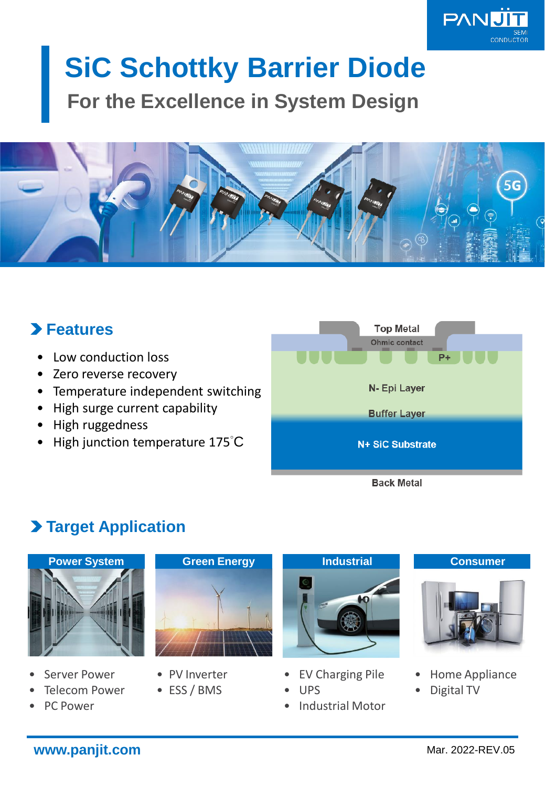

# **SiC Schottky Barrier Diode For the Excellence in System Design**



# **Features**

- Low conduction loss
- Zero reverse recovery
- Temperature independent switching
- High surge current capability
- High ruggedness
- High junction temperature 175°C



# **Target Application**



- Server Power
- **Telecom Power**
- PC Power



- PV Inverter
- ESS / BMS



- EV Charging Pile
- UPS
- Industrial Motor



- Home Appliance
- Digital TV